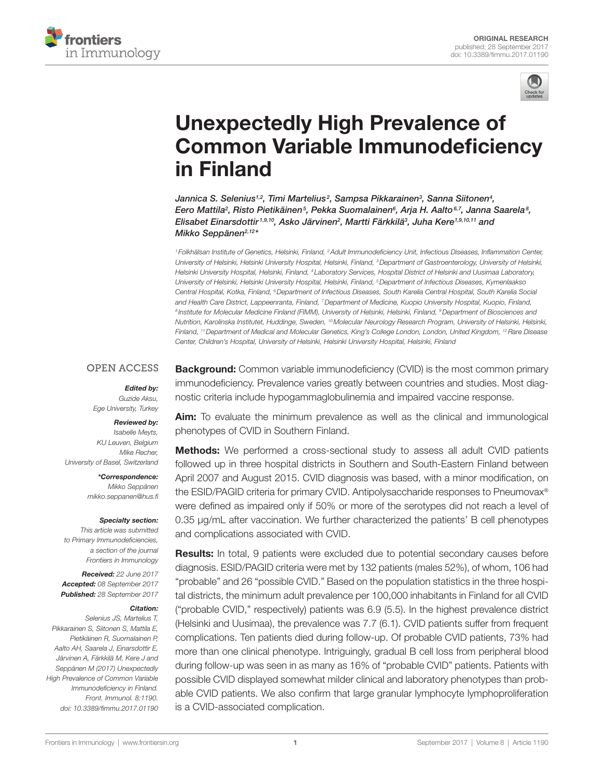



# [Unexpectedly High Prevalence of](http://www.frontiersin.org/Journal/10.3389/fimmu.2017.01190/abstract)  [Common Variable Immunodeficiency](http://www.frontiersin.org/Journal/10.3389/fimmu.2017.01190/abstract)  [in Finland](http://www.frontiersin.org/Journal/10.3389/fimmu.2017.01190/abstract)

*[Jannica S. Selenius](http://loop.frontiersin.org/people/475322)1,2 , [Timi Martelius](http://loop.frontiersin.org/people/454998) <sup>2</sup> , [Sampsa Pikkarainen](http://loop.frontiersin.org/people/476781)3 , [Sanna Siitonen4](http://loop.frontiersin.org/people/476706) , [Eero Mattila2](http://loop.frontiersin.org/people/476720) , Risto Pietikäinen5 , Pekka Suomalainen6 , Arja H. Aalto6,7 , [Janna Saarela](http://loop.frontiersin.org/people/397254)8 , [Elisabet Einarsdottir](http://loop.frontiersin.org/people/236894) 1,9,10, [Asko Järvinen](http://loop.frontiersin.org/people/476880)2 , [Martti Färkkilä3](http://loop.frontiersin.org/people/476777) , [Juha Kere1](http://loop.frontiersin.org/people/475588),9,10,11 and [Mikko Seppänen](http://loop.frontiersin.org/people/381490)2,12\**

*<sup>1</sup> Folkhälsan Institute of Genetics, Helsinki, Finland, 2Adult Immunodeficiency Unit, Infectious Diseases, Inflammation Center, University of Helsinki, Helsinki University Hospital, Helsinki, Finland, 3Department of Gastroenterology, University of Helsinki, Helsinki University Hospital, Helsinki, Finland, 4 Laboratory Services, Hospital District of Helsinki and Uusimaa Laboratory, University of Helsinki, Helsinki University Hospital, Helsinki, Finland, 5Department of Infectious Diseases, Kymenlaakso Central Hospital, Kotka, Finland, 6Department of Infectious Diseases, South Karelia Central Hospital, South Karelia Social and Health Care District, Lappeenranta, Finland, 7Department of Medicine, Kuopio University Hospital, Kuopio, Finland, <sup>8</sup> Institute for Molecular Medicine Finland (FIMM), University of Helsinki, Helsinki, Finland, 9Department of Biosciences and Nutrition, Karolinska Institutet, Huddinge, Sweden, <sup>10</sup>Molecular Neurology Research Program, University of Helsinki, Helsinki, Finland, 11Department of Medical and Molecular Genetics, King's College London, London, United Kingdom, 12Rare Disease Center, Children's Hospital, University of Helsinki, Helsinki University Hospital, Helsinki, Finland*

#### **OPEN ACCESS**

#### *Edited by:*

*Guzide Aksu, Ege University, Turkey*

#### *Reviewed by:*

*Isabelle Meyts, KU Leuven, Belgium Mike Recher, University of Basel, Switzerland*

> *\*Correspondence: Mikko Seppänen [mikko.seppanen@hus.fi](mailto:mikko.seppanen@hus.fi)*

#### *Specialty section:*

*This article was submitted to Primary Immunodeficiencies, a section of the journal Frontiers in Immunology*

*Received: 22 June 2017 Accepted: 08 September 2017 Published: 28 September 2017*

#### *Citation:*

*Selenius JS, Martelius T, Pikkarainen S, Siitonen S, Mattila E, Pietikäinen R, Suomalainen P, Aalto AH, Saarela J, Einarsdottir E, Järvinen A, Färkkilä M, Kere J and Seppänen M (2017) Unexpectedly High Prevalence of Common Variable Immunodeficiency in Finland. Front. Immunol. 8:1190. doi: [10.3389/fimmu.2017.01190](https://doi.org/10.3389/fimmu.2017.01190)* **Background:** Common variable immunodeficiency (CVID) is the most common primary immunodeficiency. Prevalence varies greatly between countries and studies. Most diagnostic criteria include hypogammaglobulinemia and impaired vaccine response.

Aim: To evaluate the minimum prevalence as well as the clinical and immunological phenotypes of CVID in Southern Finland.

**Methods:** We performed a cross-sectional study to assess all adult CVID patients followed up in three hospital districts in Southern and South-Eastern Finland between April 2007 and August 2015. CVID diagnosis was based, with a minor modification, on the ESID/PAGID criteria for primary CVID. Antipolysaccharide responses to Pneumovax® were defined as impaired only if 50% or more of the serotypes did not reach a level of 0.35 µg/mL after vaccination. We further characterized the patients' B cell phenotypes and complications associated with CVID.

Results: In total, 9 patients were excluded due to potential secondary causes before diagnosis. ESID/PAGID criteria were met by 132 patients (males 52%), of whom, 106 had "probable" and 26 "possible CVID." Based on the population statistics in the three hospital districts, the minimum adult prevalence per 100,000 inhabitants in Finland for all CVID ("probable CVID," respectively) patients was 6.9 (5.5). In the highest prevalence district (Helsinki and Uusimaa), the prevalence was 7.7 (6.1). CVID patients suffer from frequent complications. Ten patients died during follow-up. Of probable CVID patients, 73% had more than one clinical phenotype. Intriguingly, gradual B cell loss from peripheral blood during follow-up was seen in as many as 16% of "probable CVID" patients. Patients with possible CVID displayed somewhat milder clinical and laboratory phenotypes than probable CVID patients. We also confirm that large granular lymphocyte lymphoproliferation is a CVID-associated complication.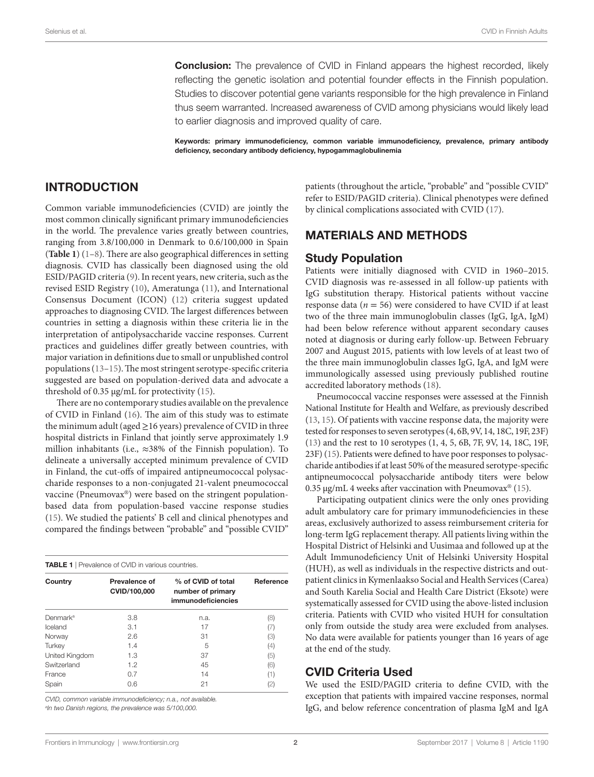**Conclusion:** The prevalence of CVID in Finland appears the highest recorded, likely reflecting the genetic isolation and potential founder effects in the Finnish population. Studies to discover potential gene variants responsible for the high prevalence in Finland thus seem warranted. Increased awareness of CVID among physicians would likely lead to earlier diagnosis and improved quality of care.

Keywords: primary immunodeficiency, common variable immunodeficiency, prevalence, primary antibody deficiency, secondary antibody deficiency, hypogammaglobulinemia

#### INTRODUCTION

Common variable immunodeficiencies (CVID) are jointly the most common clinically significant primary immunodeficiencies in the world. The prevalence varies greatly between countries, ranging from 3.8/100,000 in Denmark to 0.6/100,000 in Spain (**[Table 1](#page-1-0)**) [\(1–](#page-9-6)[8](#page-9-0)). There are also geographical differences in setting diagnosis. CVID has classically been diagnosed using the old ESID/PAGID criteria [\(9\)](#page-9-12). In recent years, new criteria, such as the revised ESID Registry [\(10](#page-9-13)), Ameratunga [\(11\)](#page-9-14), and International Consensus Document (ICON) ([12\)](#page-9-15) criteria suggest updated approaches to diagnosing CVID. The largest differences between countries in setting a diagnosis within these criteria lie in the interpretation of antipolysaccharide vaccine responses. Current practices and guidelines differ greatly between countries, with major variation in definitions due to small or unpublished control populations [\(13](#page-9-10)[–15](#page-9-11)). The most stringent serotype-specific criteria suggested are based on population-derived data and advocate a threshold of 0.35 µg/mL for protectivity [\(15](#page-9-11)).

There are no contemporary studies available on the prevalence of CVID in Finland ([16](#page-9-16)). The aim of this study was to estimate the minimum adult (aged  $\geq$  16 years) prevalence of CVID in three hospital districts in Finland that jointly serve approximately 1.9 million inhabitants (i.e., ≈38% of the Finnish population). To delineate a universally accepted minimum prevalence of CVID in Finland, the cut-offs of impaired antipneumococcal polysaccharide responses to a non-conjugated 21-valent pneumococcal vaccine (Pneumovax®) were based on the stringent populationbased data from population-based vaccine response studies ([15\)](#page-9-11). We studied the patients' B cell and clinical phenotypes and compared the findings between "probable" and "possible CVID"

<span id="page-1-0"></span>

| <b>TABLE 1</b>   Prevalence of CVID in various countries. |                               |                                                               |           |  |  |  |
|-----------------------------------------------------------|-------------------------------|---------------------------------------------------------------|-----------|--|--|--|
| Country                                                   | Prevalence of<br>CVID/100,000 | % of CVID of total<br>number of primary<br>immunodeficiencies | Reference |  |  |  |
| Denmark <sup>a</sup>                                      | 3.8                           | n.a.                                                          | (8)       |  |  |  |
| Iceland<br>3.1                                            |                               | 17                                                            | (7)       |  |  |  |
| 2.6<br>Norway                                             |                               | 31                                                            | (3)       |  |  |  |
| Turkey                                                    | 1.4                           | 5                                                             | (4)       |  |  |  |
| United Kingdom                                            | 1.3                           | 37                                                            | (5)       |  |  |  |
| Switzerland                                               | 1.2                           | 45                                                            | (6)       |  |  |  |
| France                                                    | 0.7                           | 14                                                            | (1)       |  |  |  |
| Spain<br>0.6                                              |                               | 21                                                            | (2)       |  |  |  |

*CVID, common variable immunodeficiency; n.a., not available. a In two Danish regions, the prevalence was 5/100,000.*

patients (throughout the article, "probable" and "possible CVID" refer to ESID/PAGID criteria). Clinical phenotypes were defined by clinical complications associated with CVID ([17\)](#page-9-8).

#### MATERIALS AND METHODS

#### Study Population

Patients were initially diagnosed with CVID in 1960–2015. CVID diagnosis was re-assessed in all follow-up patients with IgG substitution therapy. Historical patients without vaccine response data ( $n = 56$ ) were considered to have CVID if at least two of the three main immunoglobulin classes (IgG, IgA, IgM) had been below reference without apparent secondary causes noted at diagnosis or during early follow-up. Between February 2007 and August 2015, patients with low levels of at least two of the three main immunoglobulin classes IgG, IgA, and IgM were immunologically assessed using previously published routine accredited laboratory methods ([18\)](#page-9-9).

Pneumococcal vaccine responses were assessed at the Finnish National Institute for Health and Welfare, as previously described [\(13](#page-9-10), [15](#page-9-11)). Of patients with vaccine response data, the majority were tested for responses to seven serotypes (4, 6B, 9V, 14, 18C, 19F, 23F) [\(13](#page-9-10)) and the rest to 10 serotypes (1, 4, 5, 6B, 7F, 9V, 14, 18C, 19F, 23F) [\(15](#page-9-11)). Patients were defined to have poor responses to polysaccharide antibodies if at least 50% of the measured serotype-specific antipneumococcal polysaccharide antibody titers were below 0.35  $\mu$ g/mL 4 weeks after vaccination with Pneumovax<sup>®</sup> [\(15](#page-9-11)).

Participating outpatient clinics were the only ones providing adult ambulatory care for primary immunodeficiencies in these areas, exclusively authorized to assess reimbursement criteria for long-term IgG replacement therapy. All patients living within the Hospital District of Helsinki and Uusimaa and followed up at the Adult Immunodeficiency Unit of Helsinki University Hospital (HUH), as well as individuals in the respective districts and outpatient clinics in Kymenlaakso Social and Health Services (Carea) and South Karelia Social and Health Care District (Eksote) were systematically assessed for CVID using the above-listed inclusion criteria. Patients with CVID who visited HUH for consultation only from outside the study area were excluded from analyses. No data were available for patients younger than 16 years of age at the end of the study.

#### CVID Criteria Used

We used the ESID/PAGID criteria to define CVID, with the exception that patients with impaired vaccine responses, normal IgG, and below reference concentration of plasma IgM and IgA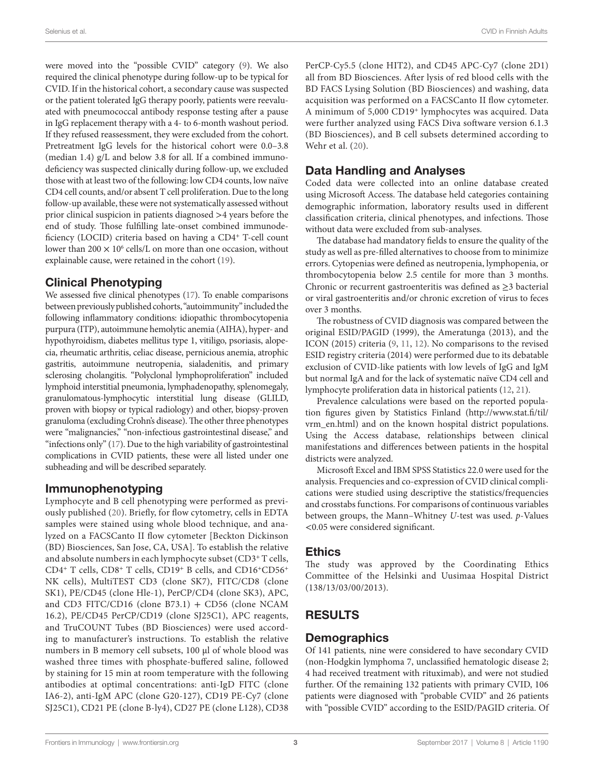Selenius et al. CVID in Finnish Adults

were moved into the "possible CVID" category ([9](#page-9-12)). We also required the clinical phenotype during follow-up to be typical for CVID. If in the historical cohort, a secondary cause was suspected or the patient tolerated IgG therapy poorly, patients were reevaluated with pneumococcal antibody response testing after a pause in IgG replacement therapy with a 4- to 6-month washout period. If they refused reassessment, they were excluded from the cohort. Pretreatment IgG levels for the historical cohort were 0.0–3.8 (median 1.4) g/L and below 3.8 for all. If a combined immunodeficiency was suspected clinically during follow-up, we excluded those with at least two of the following: low CD4 counts, low naïve CD4 cell counts, and/or absent T cell proliferation. Due to the long follow-up available, these were not systematically assessed without prior clinical suspicion in patients diagnosed >4 years before the end of study. Those fulfilling late-onset combined immunodeficiency (LOCID) criteria based on having a CD4<sup>+</sup> T-cell count lower than  $200 \times 10^6$  cells/L on more than one occasion, without explainable cause, were retained in the cohort [\(19](#page-9-17)).

## Clinical Phenotyping

We assessed five clinical phenotypes [\(17](#page-9-8)). To enable comparisons between previously published cohorts, "autoimmunity" included the following inflammatory conditions: idiopathic thrombocytopenia purpura (ITP), autoimmune hemolytic anemia (AIHA), hyper- and hypothyroidism, diabetes mellitus type 1, vitiligo, psoriasis, alopecia, rheumatic arthritis, celiac disease, pernicious anemia, atrophic gastritis, autoimmune neutropenia, sialadenitis, and primary sclerosing cholangitis. "Polyclonal lymphoproliferation" included lymphoid interstitial pneumonia, lymphadenopathy, splenomegaly, granulomatous-lymphocytic interstitial lung disease (GLILD, proven with biopsy or typical radiology) and other, biopsy-proven granuloma (excluding Crohn's disease). The other three phenotypes were "malignancies," "non-infectious gastrointestinal disease," and "infections only" ([17](#page-9-8)). Due to the high variability of gastrointestinal complications in CVID patients, these were all listed under one subheading and will be described separately.

#### Immunophenotyping

Lymphocyte and B cell phenotyping were performed as previously published ([20](#page-9-18)). Briefly, for flow cytometry, cells in EDTA samples were stained using whole blood technique, and analyzed on a FACSCanto II flow cytometer [Beckton Dickinson (BD) Biosciences, San Jose, CA, USA]. To establish the relative and absolute numbers in each lymphocyte subset (CD3<sup>+</sup> T cells, CD4<sup>+</sup> T cells, CD8<sup>+</sup> T cells, CD19<sup>+</sup> B cells, and CD16<sup>+</sup>CD56<sup>+</sup> NK cells), MultiTEST CD3 (clone SK7), FITC/CD8 (clone SK1), PE/CD45 (clone Hle-1), PerCP/CD4 (clone SK3), APC, and CD3 FITC/CD16 (clone B73.1) + CD56 (clone NCAM 16.2), PE/CD45 PerCP/CD19 (clone SJ25C1), APC reagents, and TruCOUNT Tubes (BD Biosciences) were used according to manufacturer's instructions. To establish the relative numbers in B memory cell subsets, 100 µl of whole blood was washed three times with phosphate-buffered saline, followed by staining for 15 min at room temperature with the following antibodies at optimal concentrations: anti-IgD FITC (clone IA6-2), anti-IgM APC (clone G20-127), CD19 PE-Cy7 (clone SJ25C1), CD21 PE (clone B-ly4), CD27 PE (clone L128), CD38

PerCP-Cy5.5 (clone HIT2), and CD45 APC-Cy7 (clone 2D1) all from BD Biosciences. After lysis of red blood cells with the BD FACS Lysing Solution (BD Biosciences) and washing, data acquisition was performed on a FACSCanto II flow cytometer. A minimum of 5,000 CD19<sup>+</sup> lymphocytes was acquired. Data were further analyzed using FACS Diva software version 6.1.3 (BD Biosciences), and B cell subsets determined according to Wehr et al. [\(20\)](#page-9-18).

# Data Handling and Analyses

Coded data were collected into an online database created using Microsoft Access. The database held categories containing demographic information, laboratory results used in different classification criteria, clinical phenotypes, and infections. Those without data were excluded from sub-analyses.

The database had mandatory fields to ensure the quality of the study as well as pre-filled alternatives to choose from to minimize errors. Cytopenias were defined as neutropenia, lymphopenia, or thrombocytopenia below 2.5 centile for more than 3 months. Chronic or recurrent gastroenteritis was defined as ≥3 bacterial or viral gastroenteritis and/or chronic excretion of virus to feces over 3 months.

The robustness of CVID diagnosis was compared between the original ESID/PAGID (1999), the Ameratunga (2013), and the ICON (2015) criteria ([9](#page-9-12), [11](#page-9-14), [12\)](#page-9-15). No comparisons to the revised ESID registry criteria (2014) were performed due to its debatable exclusion of CVID-like patients with low levels of IgG and IgM but normal IgA and for the lack of systematic naïve CD4 cell and lymphocyte proliferation data in historical patients ([12](#page-9-15), [21](#page-9-19)).

Prevalence calculations were based on the reported population figures given by Statistics Finland [\(http://www.stat.fi/til/](http://www.stat.fi/til/vrm_en.html) [vrm\\_en.html](http://www.stat.fi/til/vrm_en.html)) and on the known hospital district populations. Using the Access database, relationships between clinical manifestations and differences between patients in the hospital districts were analyzed.

Microsoft Excel and IBM SPSS Statistics 22.0 were used for the analysis. Frequencies and co-expression of CVID clinical complications were studied using descriptive the statistics/frequencies and crosstabs functions. For comparisons of continuous variables between groups, the Mann–Whitney *U*-test was used. *p*-Values <0.05 were considered significant.

#### **Ethics**

The study was approved by the Coordinating Ethics Committee of the Helsinki and Uusimaa Hospital District (138/13/03/00/2013).

# RESULTS

# **Demographics**

Of 141 patients*,* nine were considered to have secondary CVID (non-Hodgkin lymphoma 7, unclassified hematologic disease 2; 4 had received treatment with rituximab), and were not studied further. Of the remaining 132 patients with primary CVID, 106 patients were diagnosed with "probable CVID" and 26 patients with "possible CVID" according to the ESID/PAGID criteria. Of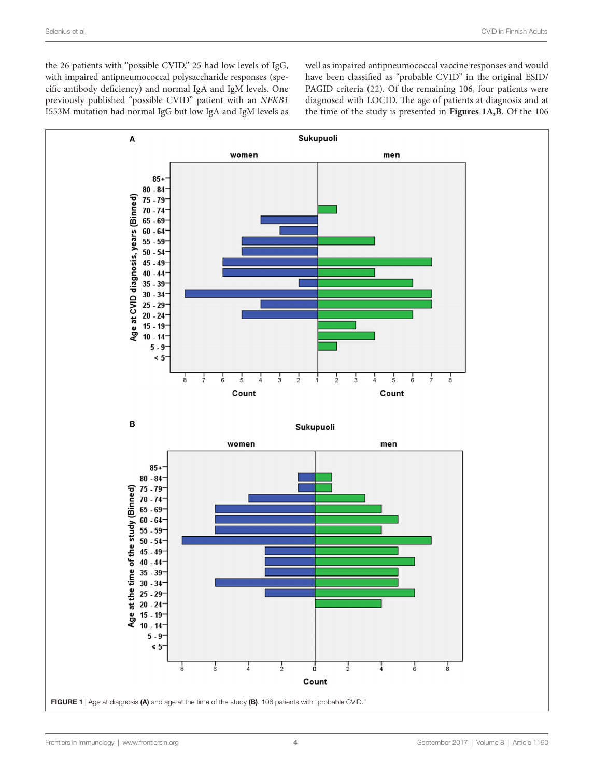the 26 patients with "possible CVID," 25 had low levels of IgG, with impaired antipneumococcal polysaccharide responses (specific antibody deficiency) and normal IgA and IgM levels. One previously published "possible CVID" patient with an *NFKB1* I553M mutation had normal IgG but low IgA and IgM levels as well as impaired antipneumococcal vaccine responses and would have been classified as "probable CVID" in the original ESID/ PAGID criteria [\(22](#page-9-20)). Of the remaining 106, four patients were diagnosed with LOCID. The age of patients at diagnosis and at the time of the study is presented in **[Figures 1A,B](#page-3-0)**. Of the 106

<span id="page-3-0"></span>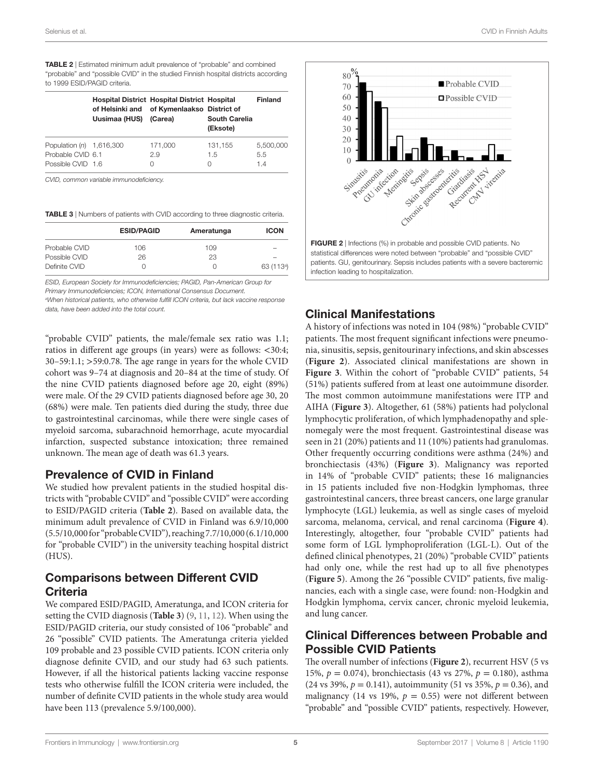<span id="page-4-0"></span>TABLE 2 | Estimated minimum adult prevalence of "probable" and combined "probable" and "possible CVID" in the studied Finnish hospital districts according to 1999 ESID/PAGID criteria.

|                            | Uusimaa (HUS) | <b>Hospital District Hospital District Hospital</b><br>of Helsinki and of Kymenlaakso District of<br>(Carea) | <b>South Carelia</b><br>(Eksote) | <b>Finland</b> |
|----------------------------|---------------|--------------------------------------------------------------------------------------------------------------|----------------------------------|----------------|
| Population $(n)$ 1,616,300 |               | 171,000                                                                                                      | 131,155                          | 5.500.000      |
| Probable CVID 6.1          |               | 2.9                                                                                                          | 1.5                              | 5.5            |
| Possible CVID 1.6          |               | $\left( \right)$                                                                                             | $\left( \right)$                 | 14             |

*CVID, common variable immunodeficiency.*

<span id="page-4-1"></span>

|               | <b>ESID/PAGID</b> | Ameratunga | <b>ICON</b>              |  |
|---------------|-------------------|------------|--------------------------|--|
| Probable CVID | 106               | 109        | $\overline{\phantom{a}}$ |  |
| Possible CVID | 26                | 23         | $\overline{\phantom{a}}$ |  |
| Definite CVID | 0                 |            | 63 (113 <sup>a</sup> )   |  |

*ESID, European Society for Immunodeficiencies; PAGID, Pan-American Group for Primary Immunodeficiencies; ICON, International Consensus Document.*

*a When historical patients, who otherwise fulfill ICON criteria, but lack vaccine response data, have been added into the total count.*

"probable CVID" patients, the male/female sex ratio was 1.1; ratios in different age groups (in years) were as follows: <30:4; 30–59:1.1; >59:0.78. The age range in years for the whole CVID cohort was 9–74 at diagnosis and 20–84 at the time of study. Of the nine CVID patients diagnosed before age 20, eight (89%) were male. Of the 29 CVID patients diagnosed before age 30, 20 (68%) were male. Ten patients died during the study, three due to gastrointestinal carcinomas, while there were single cases of myeloid sarcoma, subarachnoid hemorrhage, acute myocardial infarction, suspected substance intoxication; three remained unknown. The mean age of death was 61.3 years.

#### Prevalence of CVID in Finland

We studied how prevalent patients in the studied hospital districts with "probable CVID" and "possible CVID" were according to ESID/PAGID criteria (**[Table 2](#page-4-0)**). Based on available data, the minimum adult prevalence of CVID in Finland was 6.9/10,000 (5.5/10,000 for "probable CVID"), reaching 7.7/10,000 (6.1/10,000 for "probable CVID") in the university teaching hospital district (HUS).

## Comparisons between Different CVID Criteria

We compared ESID/PAGID, Ameratunga, and ICON criteria for setting the CVID diagnosis (**[Table 3](#page-4-1)**) [\(9,](#page-9-12) [11](#page-9-14), [12](#page-9-15)). When using the ESID/PAGID criteria, our study consisted of 106 "probable" and 26 "possible" CVID patients. The Ameratunga criteria yielded 109 probable and 23 possible CVID patients. ICON criteria only diagnose definite CVID, and our study had 63 such patients. However, if all the historical patients lacking vaccine response tests who otherwise fulfill the ICON criteria were included, the number of definite CVID patients in the whole study area would have been 113 (prevalence 5.9/100,000).



# <span id="page-4-2"></span>Clinical Manifestations

A history of infections was noted in 104 (98%) "probable CVID" patients. The most frequent significant infections were pneumonia, sinusitis, sepsis, genitourinary infections, and skin abscesses (**[Figure 2](#page-4-2)**). Associated clinical manifestations are shown in **[Figure 3](#page-5-0)**. Within the cohort of "probable CVID" patients, 54 (51%) patients suffered from at least one autoimmune disorder. The most common autoimmune manifestations were ITP and AIHA (**[Figure 3](#page-5-0)**). Altogether, 61 (58%) patients had polyclonal lymphocytic proliferation, of which lymphadenopathy and splenomegaly were the most frequent. Gastrointestinal disease was seen in 21 (20%) patients and 11 (10%) patients had granulomas. Other frequently occurring conditions were asthma (24%) and bronchiectasis (43%) (**[Figure 3](#page-5-0)**). Malignancy was reported in 14% of "probable CVID" patients; these 16 malignancies in 15 patients included five non-Hodgkin lymphomas, three gastrointestinal cancers, three breast cancers, one large granular lymphocyte (LGL) leukemia, as well as single cases of myeloid sarcoma, melanoma, cervical, and renal carcinoma (**[Figure 4](#page-5-1)**). Interestingly, altogether, four "probable CVID" patients had some form of LGL lymphoproliferation (LGL-L). Out of the defined clinical phenotypes, 21 (20%) "probable CVID" patients had only one, while the rest had up to all five phenotypes (**[Figure 5](#page-5-2)**). Among the 26 "possible CVID" patients, five malignancies, each with a single case, were found: non-Hodgkin and Hodgkin lymphoma, cervix cancer, chronic myeloid leukemia, and lung cancer.

# Clinical Differences between Probable and Possible CVID Patients

The overall number of infections (**[Figure 2](#page-4-2)**), recurrent HSV (5 vs 15%, *p* = 0.074), bronchiectasis (43 vs 27%, *p* = 0.180), asthma (24 vs 39%,  $p = 0.141$ ), autoimmunity (51 vs 35%,  $p = 0.36$ ), and malignancy (14 vs 19%,  $p = 0.55$ ) were not different between "probable" and "possible CVID" patients, respectively. However,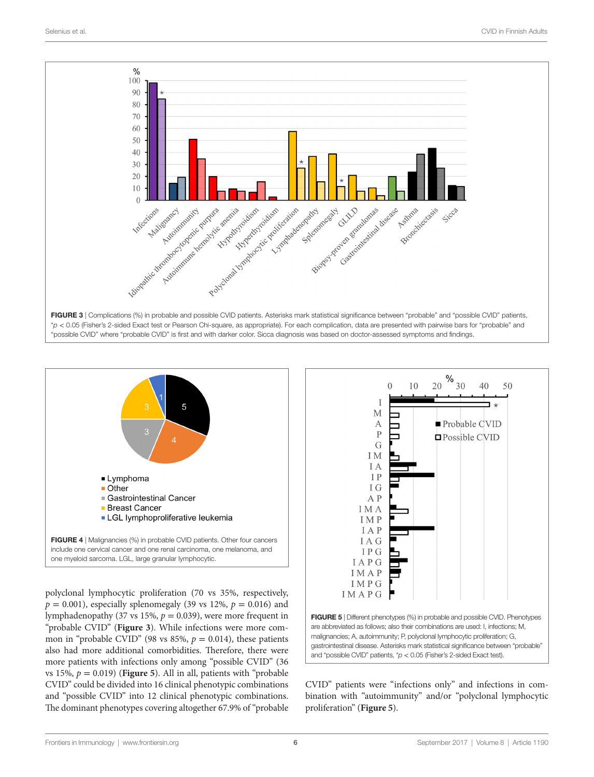



<span id="page-5-1"></span>polyclonal lymphocytic proliferation (70 vs 35%, respectively,  $p = 0.001$ , especially splenomegaly (39 vs 12%,  $p = 0.016$ ) and lymphadenopathy (37 vs 15%, *p* = 0.039), were more frequent in "probable CVID" (**[Figure 3](#page-5-0)**). While infections were more common in "probable CVID" (98 vs 85%,  $p = 0.014$ ), these patients also had more additional comorbidities. Therefore, there were more patients with infections only among "possible CVID" (36 vs 15%,  $p = 0.019$ ) (**[Figure 5](#page-5-2)**). All in all, patients with "probable" CVID" could be divided into 16 clinical phenotypic combinations and "possible CVID" into 12 clinical phenotypic combinations. The dominant phenotypes covering altogether 67.9% of "probable

<span id="page-5-0"></span>

<span id="page-5-2"></span>CVID" patients were "infections only" and infections in combination with "autoimmunity" and/or "polyclonal lymphocytic proliferation" (**[Figure 5](#page-5-2)**).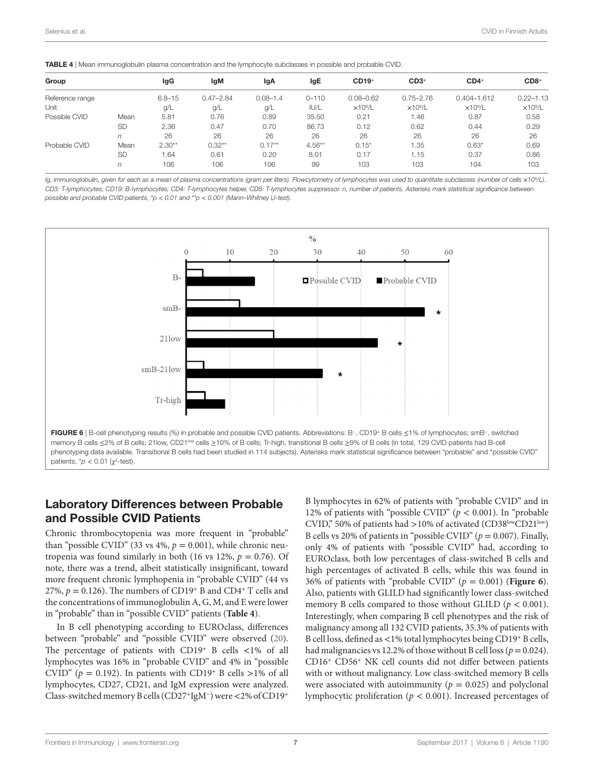<span id="page-6-0"></span>

| <b>TABLE 4</b>   Mean immunoglobulin plasma concentration and the lymphocyte subclasses in possible and probable CVID. |  |
|------------------------------------------------------------------------------------------------------------------------|--|
|------------------------------------------------------------------------------------------------------------------------|--|

| Group           |           | lgG        | lgM           | lgA          | lgE       | $CD19+$         | $CD3+$          | $CD4+$          | $CD8+$          |
|-----------------|-----------|------------|---------------|--------------|-----------|-----------------|-----------------|-----------------|-----------------|
| Reference range |           | $6.8 - 15$ | $0.47 - 2.84$ | $0.08 - 1.4$ | $0 - 110$ | $0.08 - 0.62$   | $0.75 - 2.76$   | $0.404 - 1.612$ | $0.22 - 1.13$   |
| Unit            |           | g/L        | .g/L          | g/L          | IUI/L     | $\times10^9$ /L | $\times10^9$ /L | $\times10^9$ /L | $\times10^9$ /L |
| Possible CVID   | Mean      | 5.81       | 0.76          | 0.89         | 35.50     | 0.21            | 1.46            | 0.87            | 0.58            |
|                 | <b>SD</b> | 2.36       | 0.47          | 0.70         | 86.73     | 0.12            | 0.62            | 0.44            | 0.29            |
|                 | n         | 26         | 26            | 26           | 26        | 26              | 26              | 26              | 26              |
| Probable CVID   | Mean      | $2.30**$   | $0.32**$      | $0.17**$     | $4.56***$ | $0.15*$         | 1.35            | $0.63*$         | 0.69            |
|                 | <b>SD</b> | 1.64       | 0.61          | 0.20         | 8.01      | 0.17            | 1.15            | 0.37            | 0.86            |
|                 | n         | 106        | 106           | 106          | 99        | 103             | 103             | 104             | 103             |

*Ig, immunoglobulin, given for each as a mean of plasma concentrations (gram per liters). Flowcytometry of lymphocytes was used to quantitate subclasses (number of cells* ×*109 /L).*  CD3: T-lymphocytes; CD19: B-lymphocytes, CD4: T-lymphocytes helper, CD8: T-lymphocytes suppressor. n, number of patients. Asterisks mark statistical significance between *possible and probable CVID patients, \*p* < *0.01 and \*\*p* < *0.001 (Mann–Whitney U-test).*



#### Laboratory Differences between Probable and Possible CVID Patients

Chronic thrombocytopenia was more frequent in "probable" than "possible CVID" (33 vs  $4\%$ ,  $p = 0.001$ ), while chronic neutropenia was found similarly in both (16 vs 12%,  $p = 0.76$ ). Of note, there was a trend, albeit statistically insignificant, toward more frequent chronic lymphopenia in "probable CVID" (44 vs 27%,  $p = 0.126$ ). The numbers of CD19<sup>+</sup> B and CD4<sup>+</sup> T cells and the concentrations of immunoglobulin A, G, M, and E were lower in "probable" than in "possible CVID" patients (**[Table 4](#page-6-0)**).

In B cell phenotyping according to EUROclass, differences between "probable" and "possible CVID" were observed ([20\)](#page-9-18). The percentage of patients with CD19<sup>+</sup> B cells  $\langle 1\%$  of all lymphocytes was 16% in "probable CVID" and 4% in "possible CVID" ( $p = 0.192$ ). In patients with CD19<sup>+</sup> B cells >1% of all lymphocytes, CD27, CD21, and IgM expression were analyzed. Class-switched memory B cells (CD27<sup>+</sup>IgM<sup>−</sup>) were <2% of CD19<sup>+</sup> <span id="page-6-1"></span>B lymphocytes in 62% of patients with "probable CVID" and in 12% of patients with "possible CVID" ( $p < 0.001$ ). In "probable" CVID," 50% of patients had >10% of activated (CD38<sup>low</sup>CD21<sup>low</sup>) B cells vs 20% of patients in "possible CVID" ( $p = 0.007$ ). Finally, only 4% of patients with "possible CVID" had, according to EUROclass, both low percentages of class-switched B cells and high percentages of activated B cells, while this was found in 36% of patients with "probable CVID"  $(p = 0.001)$  (**[Figure 6](#page-6-1)**). Also, patients with GLILD had significantly lower class-switched memory B cells compared to those without GLILD ( $p < 0.001$ ). Interestingly, when comparing B cell phenotypes and the risk of malignancy among all 132 CVID patients, 35.3% of patients with B cell loss, defined as <1% total lymphocytes being CD19<sup>+</sup> B cells, had malignancies vs 12.2% of those without B cell loss (*p*= 0.024). CD16<sup>+</sup> CD56<sup>+</sup> NK cell counts did not differ between patients with or without malignancy. Low class-switched memory B cells were associated with autoimmunity ( $p = 0.025$ ) and polyclonal lymphocytic proliferation (*p* < 0.001). Increased percentages of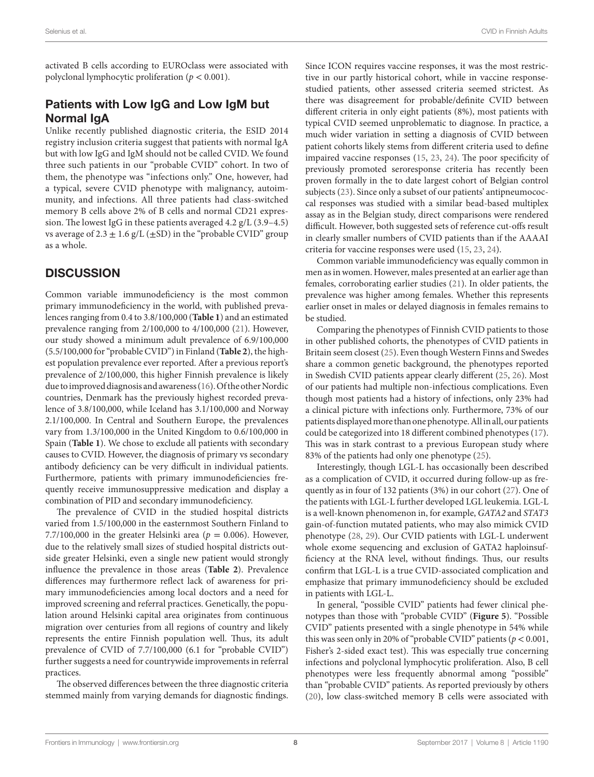activated B cells according to EUROclass were associated with polyclonal lymphocytic proliferation ( $p < 0.001$ ).

# Patients with Low IgG and Low IgM but Normal IgA

Unlike recently published diagnostic criteria, the ESID 2014 registry inclusion criteria suggest that patients with normal IgA but with low IgG and IgM should not be called CVID. We found three such patients in our "probable CVID" cohort. In two of them, the phenotype was "infections only." One, however, had a typical, severe CVID phenotype with malignancy, autoimmunity, and infections. All three patients had class-switched memory B cells above 2% of B cells and normal CD21 expression. The lowest IgG in these patients averaged 4.2 g/L (3.9–4.5) vs average of  $2.3 \pm 1.6$  g/L ( $\pm$ SD) in the "probable CVID" group as a whole.

## **DISCUSSION**

Common variable immunodeficiency is the most common primary immunodeficiency in the world, with published prevalences ranging from 0.4 to 3.8/100,000 (**[Table 1](#page-1-0)**) and an estimated prevalence ranging from 2/100,000 to 4/100,000 [\(21](#page-9-19)). However, our study showed a minimum adult prevalence of 6.9/100,000 (5.5/100,000 for "probable CVID") in Finland (**[Table 2](#page-4-0)**), the highest population prevalence ever reported. After a previous report's prevalence of 2/100,000, this higher Finnish prevalence is likely due to improved diagnosis and awareness [\(16\)](#page-9-16). Of the other Nordic countries, Denmark has the previously highest recorded prevalence of 3.8/100,000, while Iceland has 3.1/100,000 and Norway 2.1/100,000. In Central and Southern Europe, the prevalences vary from 1.3/100,000 in the United Kingdom to 0.6/100,000 in Spain (**[Table 1](#page-1-0)**). We chose to exclude all patients with secondary causes to CVID. However, the diagnosis of primary vs secondary antibody deficiency can be very difficult in individual patients. Furthermore, patients with primary immunodeficiencies frequently receive immunosuppressive medication and display a combination of PID and secondary immunodeficiency.

The prevalence of CVID in the studied hospital districts varied from 1.5/100,000 in the easternmost Southern Finland to 7.7/100,000 in the greater Helsinki area ( $p = 0.006$ ). However, due to the relatively small sizes of studied hospital districts outside greater Helsinki, even a single new patient would strongly influence the prevalence in those areas (**[Table 2](#page-4-0)**). Prevalence differences may furthermore reflect lack of awareness for primary immunodeficiencies among local doctors and a need for improved screening and referral practices. Genetically, the population around Helsinki capital area originates from continuous migration over centuries from all regions of country and likely represents the entire Finnish population well. Thus, its adult prevalence of CVID of 7.7/100,000 (6.1 for "probable CVID") further suggests a need for countrywide improvements in referral practices.

The observed differences between the three diagnostic criteria stemmed mainly from varying demands for diagnostic findings. Since ICON requires vaccine responses, it was the most restrictive in our partly historical cohort, while in vaccine responsestudied patients, other assessed criteria seemed strictest. As there was disagreement for probable/definite CVID between different criteria in only eight patients (8%), most patients with typical CVID seemed unproblematic to diagnose. In practice, a much wider variation in setting a diagnosis of CVID between patient cohorts likely stems from different criteria used to define impaired vaccine responses ([15,](#page-9-11) [23,](#page-9-21) [24](#page-9-22)). The poor specificity of previously promoted seroresponse criteria has recently been proven formally in the to date largest cohort of Belgian control subjects [\(23](#page-9-21)). Since only a subset of our patients' antipneumococcal responses was studied with a similar bead-based multiplex assay as in the Belgian study, direct comparisons were rendered difficult. However, both suggested sets of reference cut-offs result in clearly smaller numbers of CVID patients than if the AAAAI criteria for vaccine responses were used [\(15,](#page-9-11) [23,](#page-9-21) [24](#page-9-22)).

Common variable immunodeficiency was equally common in men as in women. However, males presented at an earlier age than females, corroborating earlier studies [\(21](#page-9-19)). In older patients, the prevalence was higher among females. Whether this represents earlier onset in males or delayed diagnosis in females remains to be studied.

Comparing the phenotypes of Finnish CVID patients to those in other published cohorts, the phenotypes of CVID patients in Britain seem closest [\(25](#page-9-23)). Even though Western Finns and Swedes share a common genetic background, the phenotypes reported in Swedish CVID patients appear clearly different [\(25](#page-9-23), [26\)](#page-9-24). Most of our patients had multiple non-infectious complications. Even though most patients had a history of infections, only 23% had a clinical picture with infections only. Furthermore, 73% of our patients displayed more than one phenotype. All in all, our patients could be categorized into 18 different combined phenotypes [\(17](#page-9-8)). This was in stark contrast to a previous European study where 83% of the patients had only one phenotype ([25\)](#page-9-23).

Interestingly, though LGL-L has occasionally been described as a complication of CVID, it occurred during follow-up as frequently as in four of 132 patients (3%) in our cohort [\(27\)](#page-9-25). One of the patients with LGL-L further developed LGL leukemia. LGL-L is a well-known phenomenon in, for example, *GATA2* and *STAT3* gain-of-function mutated patients, who may also mimick CVID phenotype [\(28,](#page-9-26) [29\)](#page-9-27). Our CVID patients with LGL-L underwent whole exome sequencing and exclusion of GATA2 haploinsufficiency at the RNA level, without findings. Thus, our results confirm that LGL-L is a true CVID-associated complication and emphasize that primary immunodeficiency should be excluded in patients with LGL-L.

In general, "possible CVID" patients had fewer clinical phenotypes than those with "probable CVID" (**[Figure 5](#page-5-2)**). "Possible CVID" patients presented with a single phenotype in 54% while this was seen only in 20% of "probable CVID" patients ( $p < 0.001$ , Fisher's 2-sided exact test). This was especially true concerning infections and polyclonal lymphocytic proliferation. Also, B cell phenotypes were less frequently abnormal among "possible" than "probable CVID" patients. As reported previously by others [\(20\)](#page-9-18), low class-switched memory B cells were associated with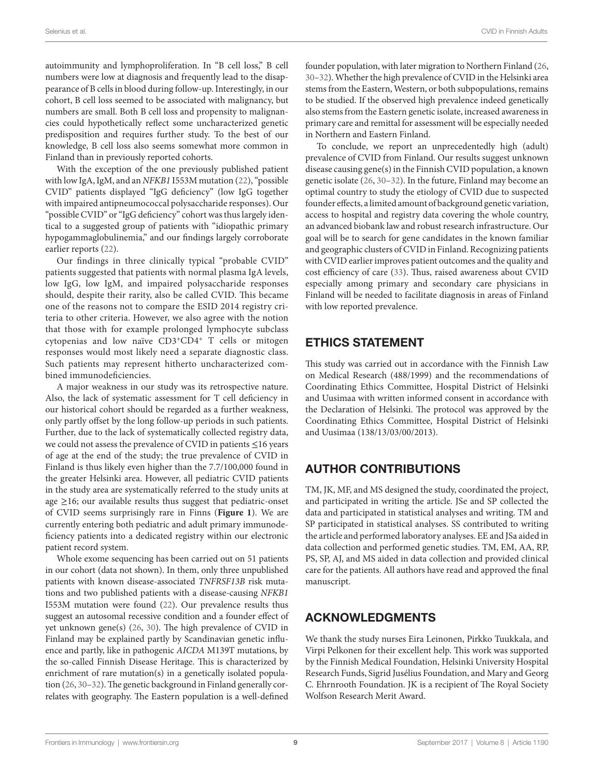autoimmunity and lymphoproliferation. In "B cell loss," B cell numbers were low at diagnosis and frequently lead to the disappearance of B cells in blood during follow-up. Interestingly, in our cohort, B cell loss seemed to be associated with malignancy, but numbers are small. Both B cell loss and propensity to malignancies could hypothetically reflect some uncharacterized genetic predisposition and requires further study. To the best of our knowledge, B cell loss also seems somewhat more common in Finland than in previously reported cohorts.

With the exception of the one previously published patient with low IgA, IgM, and an *NFKB1* I553M mutation [\(22](#page-9-20)), "possible CVID" patients displayed "IgG deficiency" (low IgG together with impaired antipneumococcal polysaccharide responses). Our "possible CVID" or "IgG deficiency" cohort was thus largely identical to a suggested group of patients with "idiopathic primary hypogammaglobulinemia," and our findings largely corroborate earlier reports [\(22](#page-9-20)).

Our findings in three clinically typical "probable CVID" patients suggested that patients with normal plasma IgA levels, low IgG, low IgM, and impaired polysaccharide responses should, despite their rarity, also be called CVID. This became one of the reasons not to compare the ESID 2014 registry criteria to other criteria. However, we also agree with the notion that those with for example prolonged lymphocyte subclass cytopenias and low naïve CD3<sup>+</sup>CD4<sup>+</sup> T cells or mitogen responses would most likely need a separate diagnostic class. Such patients may represent hitherto uncharacterized combined immunodeficiencies.

A major weakness in our study was its retrospective nature. Also, the lack of systematic assessment for T cell deficiency in our historical cohort should be regarded as a further weakness, only partly offset by the long follow-up periods in such patients. Further, due to the lack of systematically collected registry data, we could not assess the prevalence of CVID in patients ≤16 years of age at the end of the study; the true prevalence of CVID in Finland is thus likely even higher than the 7.7/100,000 found in the greater Helsinki area. However, all pediatric CVID patients in the study area are systematically referred to the study units at age  $\geq$ 16; our available results thus suggest that pediatric-onset of CVID seems surprisingly rare in Finns (**[Figure 1](#page-3-0)**). We are currently entering both pediatric and adult primary immunodeficiency patients into a dedicated registry within our electronic patient record system.

Whole exome sequencing has been carried out on 51 patients in our cohort (data not shown). In them, only three unpublished patients with known disease-associated *TNFRSF13B* risk mutations and two published patients with a disease-causing *NFKB1* I553M mutation were found [\(22](#page-9-20)). Our prevalence results thus suggest an autosomal recessive condition and a founder effect of yet unknown gene(s) ([26,](#page-9-24) [30\)](#page-9-28). The high prevalence of CVID in Finland may be explained partly by Scandinavian genetic influence and partly, like in pathogenic *AICDA* M139T mutations, by the so-called Finnish Disease Heritage. This is characterized by enrichment of rare mutation(s) in a genetically isolated population [\(26](#page-9-24), [30](#page-9-28)–[32\)](#page-9-29). The genetic background in Finland generally correlates with geography. The Eastern population is a well-defined

founder population, with later migration to Northern Finland ([26,](#page-9-24) [30](#page-9-28)[–32](#page-9-29)). Whether the high prevalence of CVID in the Helsinki area stems from the Eastern, Western, or both subpopulations, remains to be studied. If the observed high prevalence indeed genetically also stems from the Eastern genetic isolate, increased awareness in primary care and remittal for assessment will be especially needed in Northern and Eastern Finland.

To conclude, we report an unprecedentedly high (adult) prevalence of CVID from Finland. Our results suggest unknown disease causing gene(s) in the Finnish CVID population, a known genetic isolate ([26,](#page-9-24) [30–](#page-9-28)[32\)](#page-9-29). In the future, Finland may become an optimal country to study the etiology of CVID due to suspected founder effects, a limited amount of background genetic variation, access to hospital and registry data covering the whole country, an advanced biobank law and robust research infrastructure. Our goal will be to search for gene candidates in the known familiar and geographic clusters of CVID in Finland. Recognizing patients with CVID earlier improves patient outcomes and the quality and cost efficiency of care ([33](#page-9-30)). Thus, raised awareness about CVID especially among primary and secondary care physicians in Finland will be needed to facilitate diagnosis in areas of Finland with low reported prevalence.

# ETHICS STATEMENT

This study was carried out in accordance with the Finnish Law on Medical Research (488/1999) and the recommendations of Coordinating Ethics Committee, Hospital District of Helsinki and Uusimaa with written informed consent in accordance with the Declaration of Helsinki. The protocol was approved by the Coordinating Ethics Committee, Hospital District of Helsinki and Uusimaa (138/13/03/00/2013).

# AUTHOR CONTRIBUTIONS

TM, JK, MF, and MS designed the study, coordinated the project, and participated in writing the article. JSe and SP collected the data and participated in statistical analyses and writing. TM and SP participated in statistical analyses. SS contributed to writing the article and performed laboratory analyses. EE and JSa aided in data collection and performed genetic studies. TM, EM, AA, RP, PS, SP, AJ, and MS aided in data collection and provided clinical care for the patients. All authors have read and approved the final manuscript.

# ACKNOWLEDGMENTS

We thank the study nurses Eira Leinonen, Pirkko Tuukkala, and Virpi Pelkonen for their excellent help. This work was supported by the Finnish Medical Foundation, Helsinki University Hospital Research Funds, Sigrid Jusélius Foundation, and Mary and Georg C. Ehrnrooth Foundation. JK is a recipient of The Royal Society Wolfson Research Merit Award.